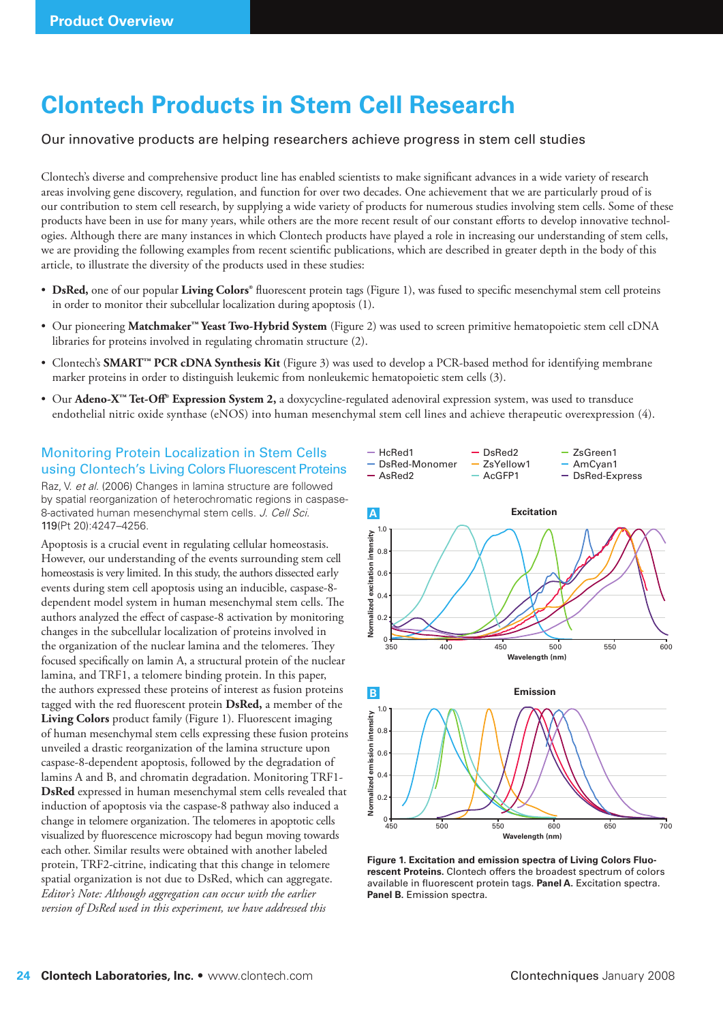# **Clontech Products in Stem Cell Research**

### Our innovative products are helping researchers achieve progress in stem cell studies

Clontech's diverse and comprehensive product line has enabled scientists to make significant advances in a wide variety of research areas involving gene discovery, regulation, and function for over two decades. One achievement that we are particularly proud of is our contribution to stem cell research, by supplying a wide variety of products for numerous studies involving stem cells. Some of these products have been in use for many years, while others are the more recent result of our constant efforts to develop innovative technologies. Although there are many instances in which Clontech products have played a role in increasing our understanding of stem cells, we are providing the following examples from recent scientific publications, which are described in greater depth in the body of this article, to illustrate the diversity of the products used in these studies:

- DsRed, one of our popular Living Colors<sup>®</sup> fluorescent protein tags (Figure 1), was fused to specific mesenchymal stem cell proteins in order to monitor their subcellular localization during apoptosis (1).
- Our pioneering **Matchmaker™ Yeast Two-Hybrid System** (Figure 2) was used to screen primitive hematopoietic stem cell cDNA libraries for proteins involved in regulating chromatin structure (2).
- Clontech's **SMART™ PCR cDNA Synthesis Kit** (Figure 3) was used to develop a PCR-based method for identifying membrane marker proteins in order to distinguish leukemic from nonleukemic hematopoietic stem cells (3).
- Our **Adeno-X™ Tet-Off ® Expression System 2,** a doxycycline-regulated adenoviral expression system, was used to transduce endothelial nitric oxide synthase (eNOS) into human mesenchymal stem cell lines and achieve therapeutic overexpression (4).

 $-$  HcRed1

## Monitoring Protein Localization in Stem Cells using Clontech's Living Colors Fluorescent Proteins

Raz, V. et al. (2006) Changes in lamina structure are followed by spatial reorganization of heterochromatic regions in caspase-8-activated human mesenchymal stem cells. J. Cell Sci. 119(Pt 20):4247–4256.

Apoptosis is a crucial event in regulating cellular homeostasis. However, our understanding of the events surrounding stem cell homeostasis is very limited. In this study, the authors dissected early events during stem cell apoptosis using an inducible, caspase-8 dependent model system in human mesenchymal stem cells. The authors analyzed the effect of caspase-8 activation by monitoring changes in the subcellular localization of proteins involved in the organization of the nuclear lamina and the telomeres. They focused specifically on lamin A, a structural protein of the nuclear lamina, and TRF1, a telomere binding protein. In this paper, the authors expressed these proteins of interest as fusion proteins tagged with the red fluorescent protein **DsRed**, a member of the **Living Colors** product family (Figure 1). Fluorescent imaging of human mesenchymal stem cells expressing these fusion proteins unveiled a drastic reorganization of the lamina structure upon caspase-8-dependent apoptosis, followed by the degradation of lamins A and B, and chromatin degradation. Monitoring TRF1- **DsRed** expressed in human mesenchymal stem cells revealed that induction of apoptosis via the caspase-8 pathway also induced a change in telomere organization. The telomeres in apoptotic cells visualized by fluorescence microscopy had begun moving towards each other. Similar results were obtained with another labeled protein, TRF2-citrine, indicating that this change in telomere spatial organization is not due to DsRed, which can aggregate. *Editor's Note: Although aggregation can occur with the earlier version of DsRed used in this experiment, we have addressed this* 



- DsRed2

- ZsGreen1



**Figure 1. Excitation and emission spectra of Living Colors Fluorescent Proteins.** Clontech offers the broadest spectrum of colors available in fluorescent protein tags. Panel A. Excitation spectra. **Panel B.** Emission spectra.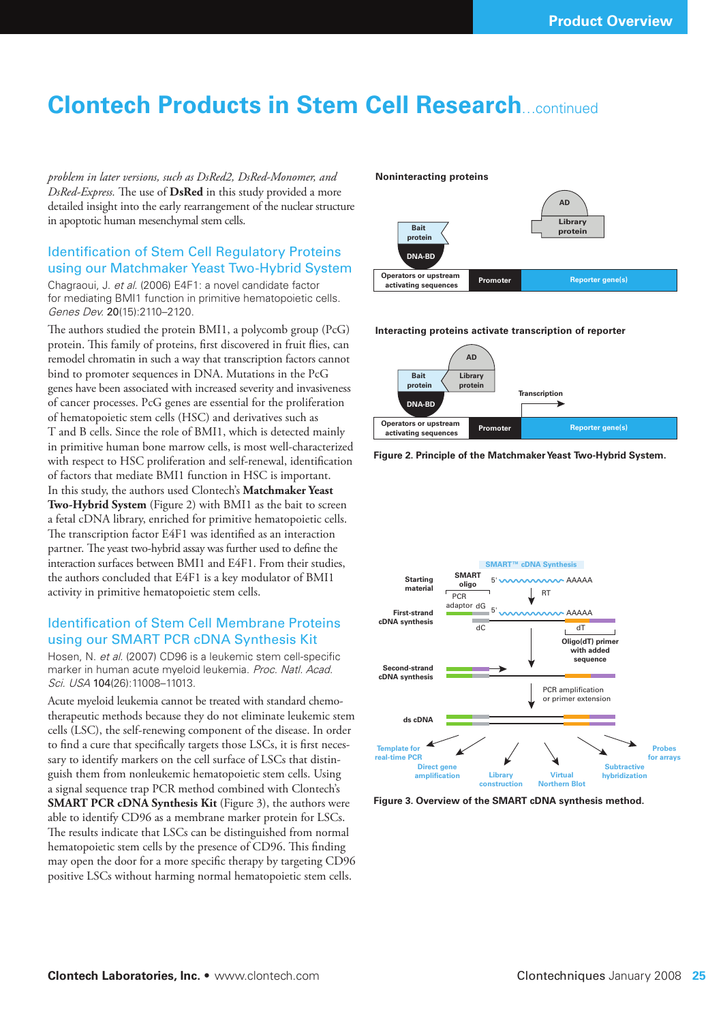## **Clontech Products in Stem Cell Research**…continued

*problem in later versions, such as DsRed2, DsRed-Monomer, and DsRed-Express.* The use of **DsRed** in this study provided a more detailed insight into the early rearrangement of the nuclear structure in apoptotic human mesenchymal stem cells.

## Identification of Stem Cell Regulatory Proteins using our Matchmaker Yeast Two-Hybrid System

Chagraoui, J. et al. (2006) E4F1: a novel candidate factor for mediating BMI1 function in primitive hematopoietic cells. Genes Dev. 20(15):2110–2120.

The authors studied the protein BMI1, a polycomb group (PcG) protein. This family of proteins, first discovered in fruit flies, can remodel chromatin in such a way that transcription factors cannot bind to promoter sequences in DNA. Mutations in the PcG genes have been associated with increased severity and invasiveness of cancer processes. PcG genes are essential for the proliferation of hematopoietic stem cells (HSC) and derivatives such as T and B cells. Since the role of BMI1, which is detected mainly in primitive human bone marrow cells, is most well-characterized with respect to HSC proliferation and self-renewal, identification of factors that mediate BMI1 function in HSC is important. In this study, the authors used Clontech's **Matchmaker Yeast Two-Hybrid System** (Figure 2) with BMI1 as the bait to screen a fetal cDNA library, enriched for primitive hematopoietic cells. The transcription factor E4F1 was identified as an interaction partner. The yeast two-hybrid assay was further used to define the interaction surfaces between BMI1 and E4F1. From their studies, the authors concluded that E4F1 is a key modulator of BMI1 activity in primitive hematopoietic stem cells.

### **Identification of Stem Cell Membrane Proteins** using our SMART PCR cDNA Synthesis Kit

Hosen, N. et al. (2007) CD96 is a leukemic stem cell-specific marker in human acute myeloid leukemia. Proc. Natl. Acad. Sci. USA 104(26):11008-11013.

Acute myeloid leukemia cannot be treated with standard chemotherapeutic methods because they do not eliminate leukemic stem cells (LSC), the self-renewing component of the disease. In order to find a cure that specifically targets those LSCs, it is first necessary to identify markers on the cell surface of LSCs that distinguish them from nonleukemic hematopoietic stem cells. Using a signal sequence trap PCR method combined with Clontech's **SMART PCR cDNA Synthesis Kit** (Figure 3), the authors were able to identify CD96 as a membrane marker protein for LSCs. The results indicate that LSCs can be distinguished from normal hematopoietic stem cells by the presence of CD96. This finding may open the door for a more specific therapy by targeting CD96 positive LSCs without harming normal hematopoietic stem cells.

#### **Noninteracting proteins**



**Interacting proteins activate transcription of reporter**